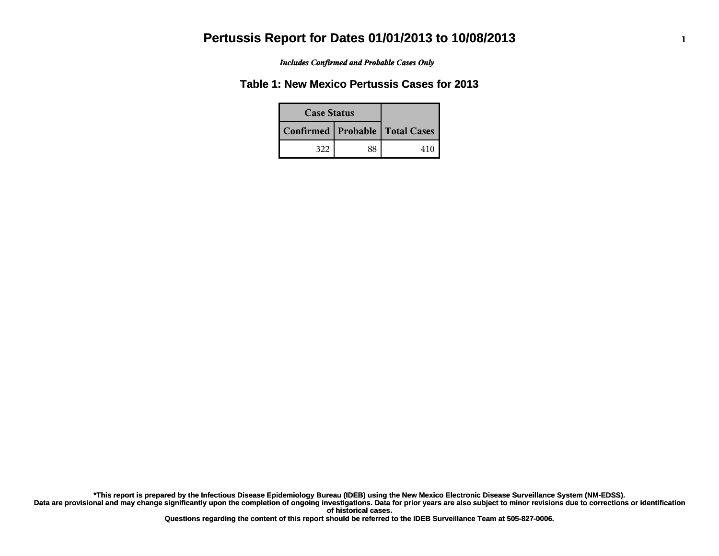*Includes Confirmed and Probable Cases Only*

#### **Table 1: New Mexico Pertussis Cases for 2013**

| <b>Case Status</b>                 |    |      |
|------------------------------------|----|------|
| Confirmed   Probable   Total Cases |    |      |
| 322                                | 88 | 41 C |

**Data are provisional and may change significantly upon the completion of ongoing investigations. Data for prior years are also subject to minor revisions due to corrections or identification of historical cases. \*This report is prepared by the Infectious Disease Epidemiology Bureau (IDEB) using the New Mexico Electronic Disease Surveillance System (NM-EDSS).**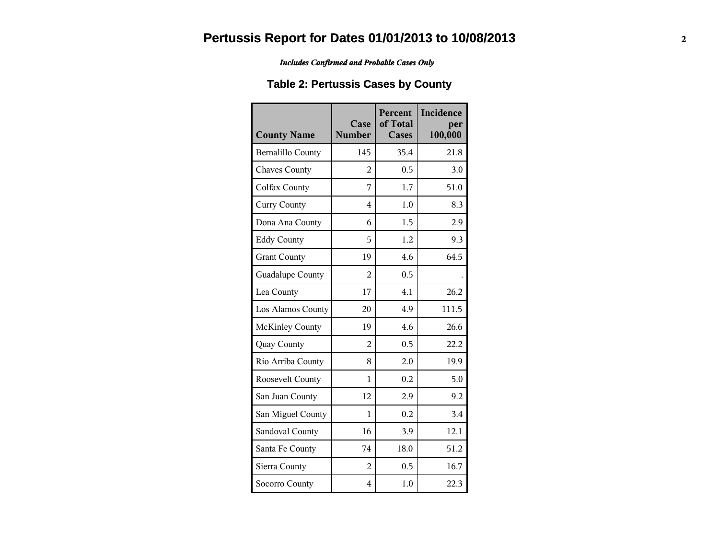*Includes Confirmed and Probable Cases Only*

### **Table 2: Pertussis Cases by County**

| <b>County Name</b>       | Case<br><b>Number</b> | Percent<br>of Total<br><b>Cases</b> | Incidence<br>per<br>100,000 |
|--------------------------|-----------------------|-------------------------------------|-----------------------------|
| <b>Bernalillo County</b> | 145                   | 35.4                                | 21.8                        |
| <b>Chaves County</b>     | 2                     | 0.5                                 | 3.0                         |
| Colfax County            | 7                     | 1.7                                 | 51.0                        |
| <b>Curry County</b>      | 4                     | 1.0                                 | 8.3                         |
| Dona Ana County          | 6                     | 1.5                                 | 2.9                         |
| <b>Eddy County</b>       | 5                     | 1.2                                 | 9.3                         |
| <b>Grant County</b>      | 19                    | 4.6                                 | 64.5                        |
| Guadalupe County         | 2                     | 0.5                                 |                             |
| Lea County               | 17                    | 4.1                                 | 26.2                        |
| Los Alamos County        | 20                    | 4.9                                 | 111.5                       |
| <b>McKinley County</b>   | 19                    | 4.6                                 | 26.6                        |
| Quay County              | $\overline{2}$        | 0.5                                 | 22.2                        |
| Rio Arriba County        | 8                     | 2.0                                 | 19.9                        |
| Roosevelt County         | 1                     | 0.2                                 | 5.0                         |
| San Juan County          | 12                    | 2.9                                 | 9.2                         |
| San Miguel County        | $\mathbf{1}$          | 0.2                                 | 3.4                         |
| Sandoval County          | 16                    | 3.9                                 | 12.1                        |
| Santa Fe County          | 74                    | 18.0                                | 51.2                        |
| Sierra County            | $\overline{2}$        | 0.5                                 | 16.7                        |
| Socorro County           | $\overline{4}$        | 1.0                                 | 22.3                        |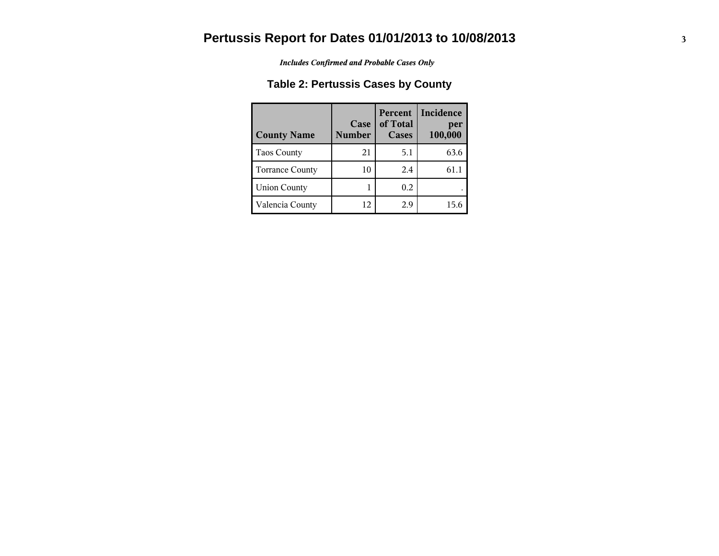*Includes Confirmed and Probable Cases Only*

### **Table 2: Pertussis Cases by County**

| <b>County Name</b>     | Case<br><b>Number</b> | Percent<br>of Total<br><b>Cases</b> | Incidence<br>per<br>100,000 |
|------------------------|-----------------------|-------------------------------------|-----------------------------|
| <b>Taos County</b>     | 21                    | 5.1                                 | 63.6                        |
| <b>Torrance County</b> | 10                    | 2.4                                 | 61.1                        |
| <b>Union County</b>    |                       | 0.2                                 |                             |
| Valencia County        | 12                    | 2.9                                 | 15.6                        |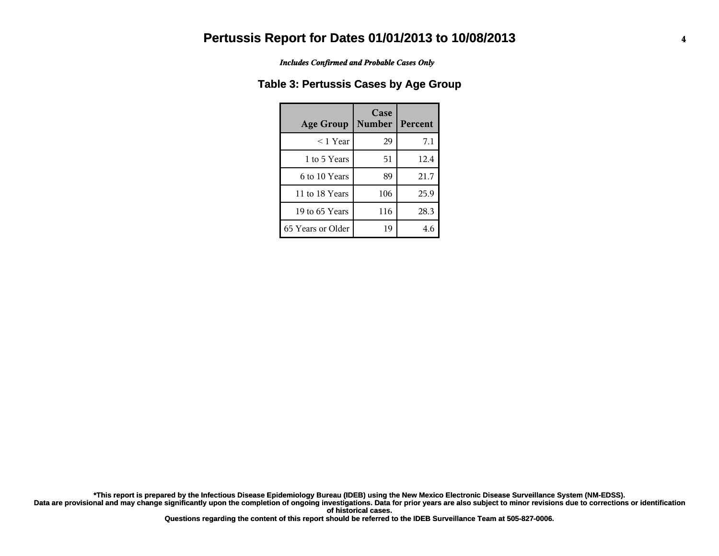*Includes Confirmed and Probable Cases Only*

#### **Table 3: Pertussis Cases by Age Group**

| <b>Age Group</b>  | Case<br><b>Number</b> | Percent |
|-------------------|-----------------------|---------|
| $<$ 1 Year        | 29                    | 7.1     |
| 1 to 5 Years      | 51                    | 12.4    |
| 6 to 10 Years     | 89                    | 21.7    |
| 11 to 18 Years    | 106                   | 25.9    |
| 19 to 65 Years    | 116                   | 28.3    |
| 65 Years or Older | 19                    | 4.6     |

**Data are provisional and may change significantly upon the completion of ongoing investigations. Data for prior years are also subject to minor revisions due to corrections or identification of historical cases. \*This report is prepared by the Infectious Disease Epidemiology Bureau (IDEB) using the New Mexico Electronic Disease Surveillance System (NM-EDSS).**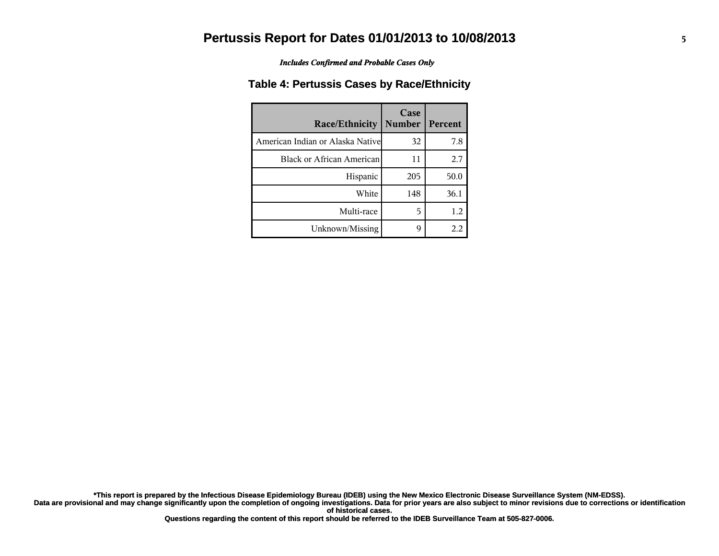*Includes Confirmed and Probable Cases Only*

#### **Table 4: Pertussis Cases by Race/Ethnicity**

| <b>Race/Ethnicity</b>             | Case<br><b>Number</b> | Percent |
|-----------------------------------|-----------------------|---------|
| American Indian or Alaska Nativel | 32                    | 7.8     |
| Black or African American         | 11                    | 2.7     |
| Hispanic                          | 205                   | 50.0    |
| White                             | 148                   | 36.1    |
| Multi-race                        | 5                     | 1.2     |
| Unknown/Missing                   | q                     | 2.2     |

**Data are provisional and may change significantly upon the completion of ongoing investigations. Data for prior years are also subject to minor revisions due to corrections or identification \*This report is prepared by the Infectious Disease Epidemiology Bureau (IDEB) using the New Mexico Electronic Disease Surveillance System (NM-EDSS).**

**of historical cases.**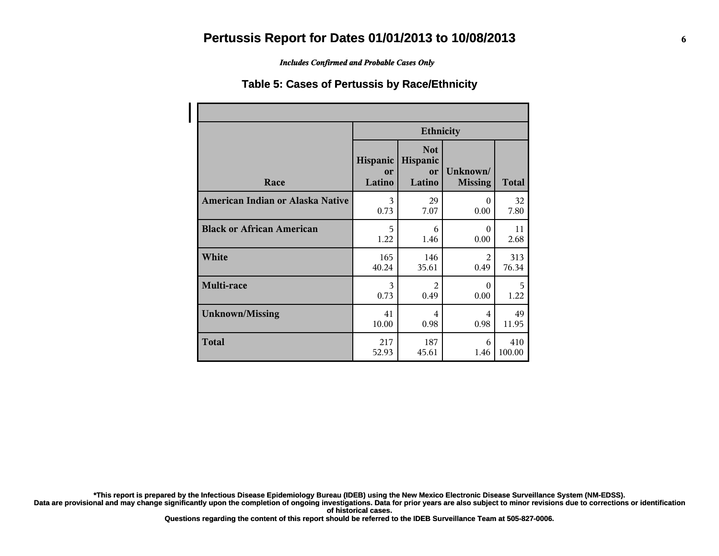*Includes Confirmed and Probable Cases Only*

#### **Table 5: Cases of Pertussis by Race/Ethnicity**

|                                  | <b>Ethnicity</b>         |                                        |                            |              |
|----------------------------------|--------------------------|----------------------------------------|----------------------------|--------------|
| Race                             | Hispanic<br>or<br>Latino | <b>Not</b><br>Hispanic<br>or<br>Latino | Unknown/<br><b>Missing</b> | <b>Total</b> |
| American Indian or Alaska Native | 3                        | 29                                     | $\Omega$                   | 32           |
|                                  | 0.73                     | 7.07                                   | 0.00                       | 7.80         |
| <b>Black or African American</b> | 5                        | 6                                      | $\theta$                   | 11           |
|                                  | 1.22                     | 1.46                                   | 0.00                       | 2.68         |
| White                            | 165                      | 146                                    | $\mathfrak{D}$             | 313          |
|                                  | 40.24                    | 35.61                                  | 0.49                       | 76.34        |
| Multi-race                       | 3                        | $\mathfrak{D}$                         | $\Omega$                   | 5            |
|                                  | 0.73                     | 0.49                                   | 0.00                       | 1.22         |
| <b>Unknown/Missing</b>           | 41                       | 4                                      | 4                          | 49           |
|                                  | 10.00                    | 0.98                                   | 0.98                       | 11.95        |
| <b>Total</b>                     | 217                      | 187                                    | 6                          | 410          |
|                                  | 52.93                    | 45.61                                  | 1.46                       | 100.00       |

**\*This report is prepared by the Infectious Disease Epidemiology Bureau (IDEB) using the New Mexico Electronic Disease Surveillance System (NM-EDSS).**

**Data are provisional and may change significantly upon the completion of ongoing investigations. Data for prior years are also subject to minor revisions due to corrections or identification of historical cases.**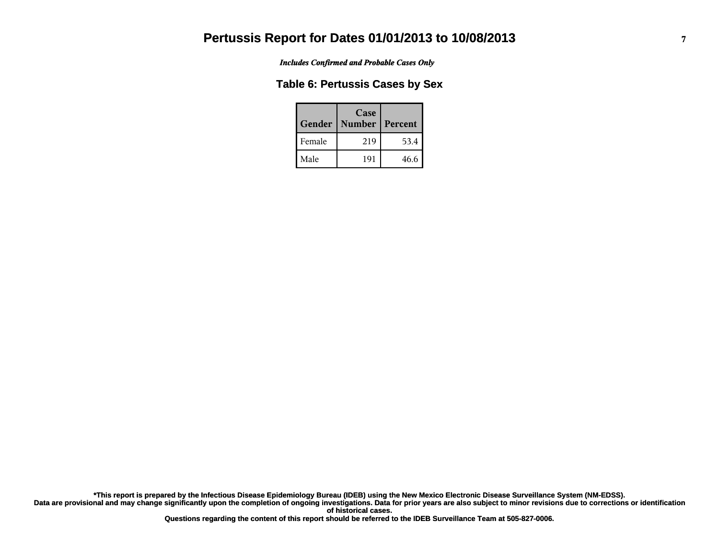*Includes Confirmed and Probable Cases Only*

#### **Table 6: Pertussis Cases by Sex**

| Gender | Case<br><b>Number</b> | Percent |
|--------|-----------------------|---------|
| Female | 219                   | 53.4    |
| Male   | 191                   | 46.6    |

**Data are provisional and may change significantly upon the completion of ongoing investigations. Data for prior years are also subject to minor revisions due to corrections or identification of historical cases. \*This report is prepared by the Infectious Disease Epidemiology Bureau (IDEB) using the New Mexico Electronic Disease Surveillance System (NM-EDSS).**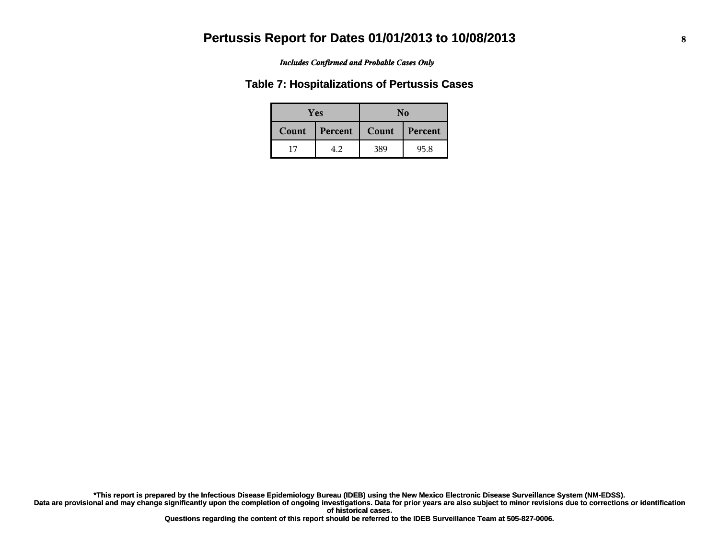*Includes Confirmed and Probable Cases Only*

#### **Table 7: Hospitalizations of Pertussis Cases**

|       | Yes     | No               |      |  |
|-------|---------|------------------|------|--|
| Count | Percent | Count<br>Percent |      |  |
|       | 42      | 389              | 95.8 |  |

**Data are provisional and may change significantly upon the completion of ongoing investigations. Data for prior years are also subject to minor revisions due to corrections or identification of historical cases. \*This report is prepared by the Infectious Disease Epidemiology Bureau (IDEB) using the New Mexico Electronic Disease Surveillance System (NM-EDSS).**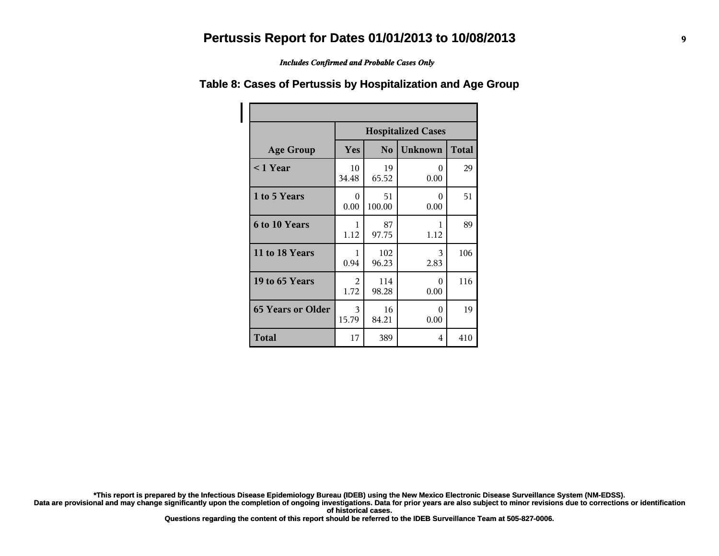*Includes Confirmed and Probable Cases Only*

|                          | <b>Hospitalized Cases</b> |                |                  |              |
|--------------------------|---------------------------|----------------|------------------|--------------|
| <b>Age Group</b>         | Yes                       | N <sub>o</sub> | <b>Unknown</b>   | <b>Total</b> |
| $< 1$ Year               | 10<br>34.48               | 19<br>65.52    | $\theta$<br>0.00 | 29           |
| 1 to 5 Years             | 0<br>0.00                 | 51<br>100.00   | $\Omega$<br>0.00 | 51           |
| 6 to 10 Years            | 1<br>1.12                 | 87<br>97.75    | 1<br>1.12        | 89           |
| 11 to 18 Years           | 1<br>0.94                 | 102<br>96.23   | 3<br>2.83        | 106          |
| 19 to 65 Years           | 2<br>1.72                 | 114<br>98.28   | $\Omega$<br>0.00 | 116          |
| <b>65 Years or Older</b> | 3<br>15.79                | 16<br>84.21    | 0<br>0.00        | 19           |
| <b>Total</b>             | 17                        | 389            | 4                | 410          |

#### **Table 8: Cases of Pertussis by Hospitalization and Age Group**

**\*This report is prepared by the Infectious Disease Epidemiology Bureau (IDEB) using the New Mexico Electronic Disease Surveillance System (NM-EDSS).**

**Data are provisional and may change significantly upon the completion of ongoing investigations. Data for prior years are also subject to minor revisions due to corrections or identification of historical cases.**